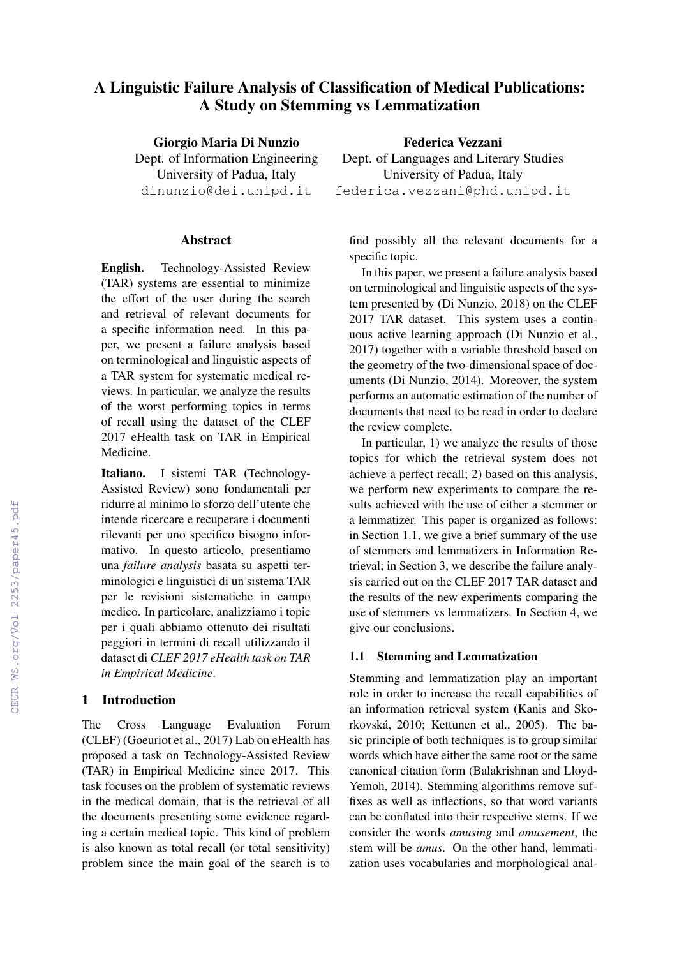# A Linguistic Failure Analysis of Classification of Medical Publications: A Study on Stemming vs Lemmatization

Giorgio Maria Di Nunzio

Dept. of Information Engineering University of Padua, Italy dinunzio@dei.unipd.it

#### Abstract

English. Technology-Assisted Review (TAR) systems are essential to minimize the effort of the user during the search and retrieval of relevant documents for a specific information need. In this paper, we present a failure analysis based on terminological and linguistic aspects of a TAR system for systematic medical reviews. In particular, we analyze the results of the worst performing topics in terms of recall using the dataset of the CLEF 2017 eHealth task on TAR in Empirical Medicine.

Italiano. I sistemi TAR (Technology-Assisted Review) sono fondamentali per ridurre al minimo lo sforzo dell'utente che intende ricercare e recuperare i documenti rilevanti per uno specifico bisogno informativo. In questo articolo, presentiamo una *failure analysis* basata su aspetti terminologici e linguistici di un sistema TAR per le revisioni sistematiche in campo medico. In particolare, analizziamo i topic per i quali abbiamo ottenuto dei risultati peggiori in termini di recall utilizzando il dataset di *CLEF 2017 eHealth task on TAR in Empirical Medicine*.

# 1 Introduction

The Cross Language Evaluation Forum (CLEF) (Goeuriot et al., 2017) Lab on eHealth has proposed a task on Technology-Assisted Review (TAR) in Empirical Medicine since 2017. This task focuses on the problem of systematic reviews in the medical domain, that is the retrieval of all the documents presenting some evidence regarding a certain medical topic. This kind of problem is also known as total recall (or total sensitivity) problem since the main goal of the search is to

Federica Vezzani Dept. of Languages and Literary Studies University of Padua, Italy federica.vezzani@phd.unipd.it

find possibly all the relevant documents for a specific topic.

In this paper, we present a failure analysis based on terminological and linguistic aspects of the system presented by (Di Nunzio, 2018) on the CLEF 2017 TAR dataset. This system uses a continuous active learning approach (Di Nunzio et al., 2017) together with a variable threshold based on the geometry of the two-dimensional space of documents (Di Nunzio, 2014). Moreover, the system performs an automatic estimation of the number of documents that need to be read in order to declare the review complete.

In particular, 1) we analyze the results of those topics for which the retrieval system does not achieve a perfect recall; 2) based on this analysis, we perform new experiments to compare the results achieved with the use of either a stemmer or a lemmatizer. This paper is organized as follows: in Section 1.1, we give a brief summary of the use of stemmers and lemmatizers in Information Retrieval; in Section 3, we describe the failure analysis carried out on the CLEF 2017 TAR dataset and the results of the new experiments comparing the use of stemmers vs lemmatizers. In Section 4, we give our conclusions.

# 1.1 Stemming and Lemmatization

Stemming and lemmatization play an important role in order to increase the recall capabilities of an information retrieval system (Kanis and Skorkovská, 2010; Kettunen et al., 2005). The basic principle of both techniques is to group similar words which have either the same root or the same canonical citation form (Balakrishnan and Lloyd-Yemoh, 2014). Stemming algorithms remove suffixes as well as inflections, so that word variants can be conflated into their respective stems. If we consider the words *amusing* and *amusement*, the stem will be *amus*. On the other hand, lemmatization uses vocabularies and morphological anal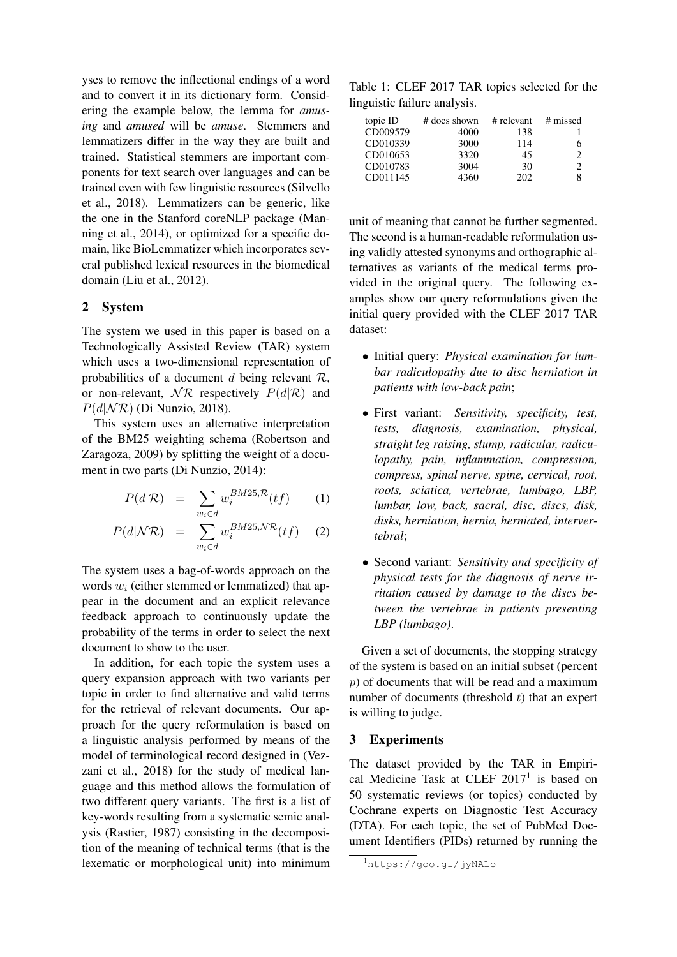yses to remove the inflectional endings of a word and to convert it in its dictionary form. Considering the example below, the lemma for *amusing* and *amused* will be *amuse*. Stemmers and lemmatizers differ in the way they are built and trained. Statistical stemmers are important components for text search over languages and can be trained even with few linguistic resources (Silvello et al., 2018). Lemmatizers can be generic, like the one in the Stanford coreNLP package (Manning et al., 2014), or optimized for a specific domain, like BioLemmatizer which incorporates several published lexical resources in the biomedical domain (Liu et al., 2012).

## 2 System

The system we used in this paper is based on a Technologically Assisted Review (TAR) system which uses a two-dimensional representation of probabilities of a document d being relevant  $\mathcal{R}$ , or non-relevant,  $\mathcal{NR}$  respectively  $P(d|\mathcal{R})$  and  $P(d|\mathcal{NR})$  (Di Nunzio, 2018).

This system uses an alternative interpretation of the BM25 weighting schema (Robertson and Zaragoza, 2009) by splitting the weight of a document in two parts (Di Nunzio, 2014):

$$
P(d|\mathcal{R}) = \sum_{w_i \in d} w_i^{BM25, \mathcal{R}}(tf) \qquad (1)
$$

$$
P(d|\mathcal{NR}) = \sum_{w_i \in d} w_i^{BM25, \mathcal{NR}}(tf) \quad (2)
$$

The system uses a bag-of-words approach on the words  $w_i$  (either stemmed or lemmatized) that appear in the document and an explicit relevance feedback approach to continuously update the probability of the terms in order to select the next document to show to the user.

In addition, for each topic the system uses a query expansion approach with two variants per topic in order to find alternative and valid terms for the retrieval of relevant documents. Our approach for the query reformulation is based on a linguistic analysis performed by means of the model of terminological record designed in (Vezzani et al., 2018) for the study of medical language and this method allows the formulation of two different query variants. The first is a list of key-words resulting from a systematic semic analysis (Rastier, 1987) consisting in the decomposition of the meaning of technical terms (that is the lexematic or morphological unit) into minimum

Table 1: CLEF 2017 TAR topics selected for the linguistic failure analysis.

| topic ID | # docs shown | # relevant | # missed |
|----------|--------------|------------|----------|
| CD009579 | 4000         | 138        |          |
| CD010339 | 3000         | 114        |          |
| CD010653 | 3320         | 45         | っ        |
| CD010783 | 3004         | 30         | っ        |
| CD011145 | 4360         | 202        | 8        |

unit of meaning that cannot be further segmented. The second is a human-readable reformulation using validly attested synonyms and orthographic alternatives as variants of the medical terms provided in the original query. The following examples show our query reformulations given the initial query provided with the CLEF 2017 TAR dataset:

- Initial query: *Physical examination for lumbar radiculopathy due to disc herniation in patients with low-back pain*;
- First variant: *Sensitivity, specificity, test, tests, diagnosis, examination, physical, straight leg raising, slump, radicular, radiculopathy, pain, inflammation, compression, compress, spinal nerve, spine, cervical, root, roots, sciatica, vertebrae, lumbago, LBP, lumbar, low, back, sacral, disc, discs, disk, disks, herniation, hernia, herniated, intervertebral*;
- Second variant: *Sensitivity and specificity of physical tests for the diagnosis of nerve irritation caused by damage to the discs between the vertebrae in patients presenting LBP (lumbago)*.

Given a set of documents, the stopping strategy of the system is based on an initial subset (percent p) of documents that will be read and a maximum number of documents (threshold  $t$ ) that an expert is willing to judge.

## 3 Experiments

The dataset provided by the TAR in Empirical Medicine Task at CLEF  $2017<sup>1</sup>$  is based on 50 systematic reviews (or topics) conducted by Cochrane experts on Diagnostic Test Accuracy (DTA). For each topic, the set of PubMed Document Identifiers (PIDs) returned by running the

<sup>1</sup>https://goo.gl/jyNALo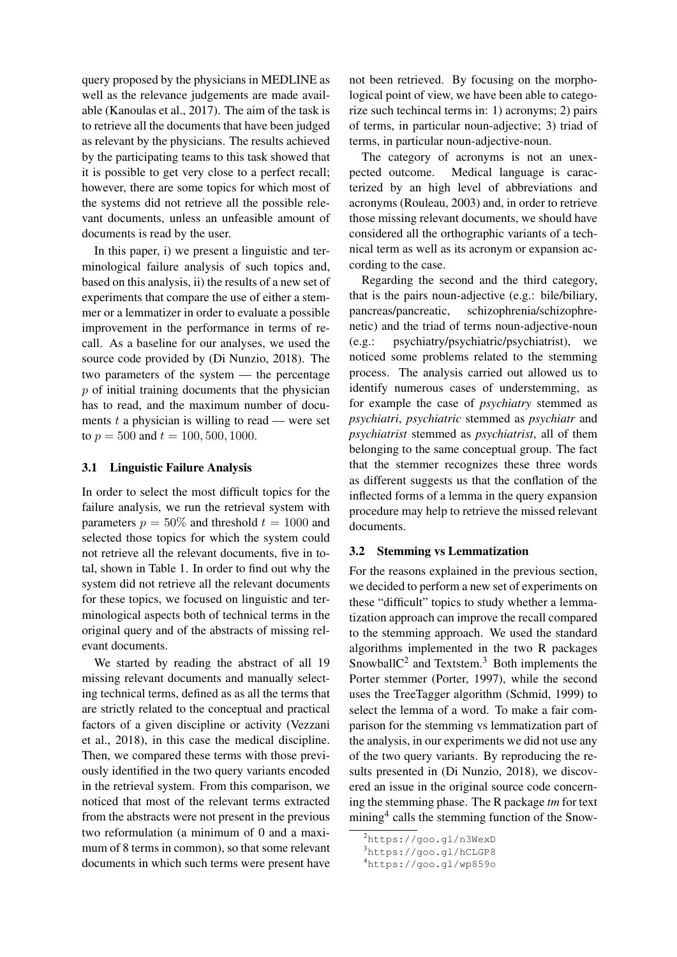query proposed by the physicians in MEDLINE as well as the relevance judgements are made available (Kanoulas et al., 2017). The aim of the task is to retrieve all the documents that have been judged as relevant by the physicians. The results achieved by the participating teams to this task showed that it is possible to get very close to a perfect recall; however, there are some topics for which most of the systems did not retrieve all the possible relevant documents, unless an unfeasible amount of documents is read by the user.

In this paper, i) we present a linguistic and terminological failure analysis of such topics and, based on this analysis, ii) the results of a new set of experiments that compare the use of either a stemmer or a lemmatizer in order to evaluate a possible improvement in the performance in terms of recall. As a baseline for our analyses, we used the source code provided by (Di Nunzio, 2018). The two parameters of the system — the percentage  $p$  of initial training documents that the physician has to read, and the maximum number of documents  $t$  a physician is willing to read — were set to  $p = 500$  and  $t = 100, 500, 1000$ .

#### 3.1 Linguistic Failure Analysis

In order to select the most difficult topics for the failure analysis, we run the retrieval system with parameters  $p = 50\%$  and threshold  $t = 1000$  and selected those topics for which the system could not retrieve all the relevant documents, five in total, shown in Table 1. In order to find out why the system did not retrieve all the relevant documents for these topics, we focused on linguistic and terminological aspects both of technical terms in the original query and of the abstracts of missing relevant documents.

We started by reading the abstract of all 19 missing relevant documents and manually selecting technical terms, defined as as all the terms that are strictly related to the conceptual and practical factors of a given discipline or activity (Vezzani et al., 2018), in this case the medical discipline. Then, we compared these terms with those previously identified in the two query variants encoded in the retrieval system. From this comparison, we noticed that most of the relevant terms extracted from the abstracts were not present in the previous two reformulation (a minimum of 0 and a maximum of 8 terms in common), so that some relevant documents in which such terms were present have

not been retrieved. By focusing on the morphological point of view, we have been able to categorize such techincal terms in: 1) acronyms; 2) pairs of terms, in particular noun-adjective; 3) triad of terms, in particular noun-adjective-noun.

The category of acronyms is not an unexpected outcome. Medical language is caracterized by an high level of abbreviations and acronyms (Rouleau, 2003) and, in order to retrieve those missing relevant documents, we should have considered all the orthographic variants of a technical term as well as its acronym or expansion according to the case.

Regarding the second and the third category, that is the pairs noun-adjective (e.g.: bile/biliary, pancreas/pancreatic, schizophrenia/schizophrenetic) and the triad of terms noun-adjective-noun (e.g.: psychiatry/psychiatric/psychiatrist), we noticed some problems related to the stemming process. The analysis carried out allowed us to identify numerous cases of understemming, as for example the case of *psychiatry* stemmed as *psychiatri*, *psychiatric* stemmed as *psychiatr* and *psychiatrist* stemmed as *psychiatrist*, all of them belonging to the same conceptual group. The fact that the stemmer recognizes these three words as different suggests us that the conflation of the inflected forms of a lemma in the query expansion procedure may help to retrieve the missed relevant documents.

## 3.2 Stemming vs Lemmatization

For the reasons explained in the previous section, we decided to perform a new set of experiments on these "difficult" topics to study whether a lemmatization approach can improve the recall compared to the stemming approach. We used the standard algorithms implemented in the two R packages Snowball $C^2$  and Textstem.<sup>3</sup> Both implements the Porter stemmer (Porter, 1997), while the second uses the TreeTagger algorithm (Schmid, 1999) to select the lemma of a word. To make a fair comparison for the stemming vs lemmatization part of the analysis, in our experiments we did not use any of the two query variants. By reproducing the results presented in (Di Nunzio, 2018), we discovered an issue in the original source code concerning the stemming phase. The R package *tm* for text mining<sup>4</sup> calls the stemming function of the Snow-

<sup>2</sup>https://goo.gl/n3WexD

<sup>3</sup>https://goo.gl/hCLGP8

<sup>4</sup>https://goo.gl/wp859o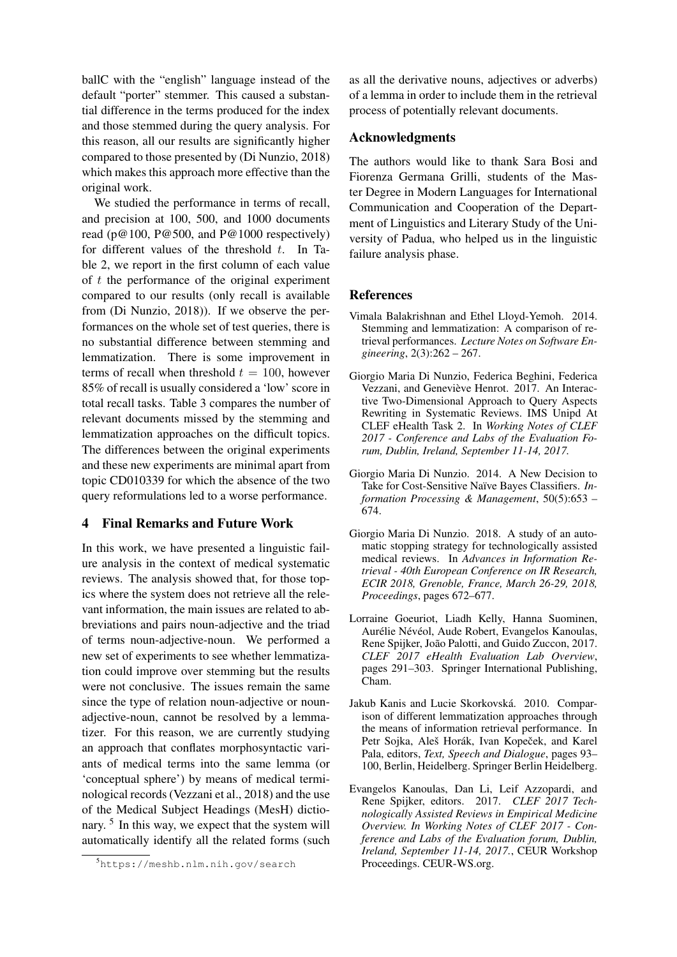ballC with the "english" language instead of the default "porter" stemmer. This caused a substantial difference in the terms produced for the index and those stemmed during the query analysis. For this reason, all our results are significantly higher compared to those presented by (Di Nunzio, 2018) which makes this approach more effective than the original work.

We studied the performance in terms of recall, and precision at 100, 500, and 1000 documents read ( $p@100$ ,  $P@500$ , and  $P@1000$  respectively) for different values of the threshold  $t$ . In Table 2, we report in the first column of each value of  $t$  the performance of the original experiment compared to our results (only recall is available from (Di Nunzio, 2018)). If we observe the performances on the whole set of test queries, there is no substantial difference between stemming and lemmatization. There is some improvement in terms of recall when threshold  $t = 100$ , however 85% of recall is usually considered a 'low' score in total recall tasks. Table 3 compares the number of relevant documents missed by the stemming and lemmatization approaches on the difficult topics. The differences between the original experiments and these new experiments are minimal apart from topic CD010339 for which the absence of the two query reformulations led to a worse performance.

## 4 Final Remarks and Future Work

In this work, we have presented a linguistic failure analysis in the context of medical systematic reviews. The analysis showed that, for those topics where the system does not retrieve all the relevant information, the main issues are related to abbreviations and pairs noun-adjective and the triad of terms noun-adjective-noun. We performed a new set of experiments to see whether lemmatization could improve over stemming but the results were not conclusive. The issues remain the same since the type of relation noun-adjective or nounadjective-noun, cannot be resolved by a lemmatizer. For this reason, we are currently studying an approach that conflates morphosyntactic variants of medical terms into the same lemma (or 'conceptual sphere') by means of medical terminological records (Vezzani et al., 2018) and the use of the Medical Subject Headings (MesH) dictionary.<sup>5</sup> In this way, we expect that the system will automatically identify all the related forms (such as all the derivative nouns, adjectives or adverbs) of a lemma in order to include them in the retrieval process of potentially relevant documents.

## Acknowledgments

The authors would like to thank Sara Bosi and Fiorenza Germana Grilli, students of the Master Degree in Modern Languages for International Communication and Cooperation of the Department of Linguistics and Literary Study of the University of Padua, who helped us in the linguistic failure analysis phase.

## References

- Vimala Balakrishnan and Ethel Lloyd-Yemoh. 2014. Stemming and lemmatization: A comparison of retrieval performances. *Lecture Notes on Software Engineering*, 2(3):262 – 267.
- Giorgio Maria Di Nunzio, Federica Beghini, Federica Vezzani, and Geneviève Henrot. 2017. An Interactive Two-Dimensional Approach to Query Aspects Rewriting in Systematic Reviews. IMS Unipd At CLEF eHealth Task 2. In *Working Notes of CLEF 2017 - Conference and Labs of the Evaluation Forum, Dublin, Ireland, September 11-14, 2017.*
- Giorgio Maria Di Nunzio. 2014. A New Decision to Take for Cost-Sensitive Naïve Bayes Classifiers. *Information Processing & Management*, 50(5):653 – 674.
- Giorgio Maria Di Nunzio. 2018. A study of an automatic stopping strategy for technologically assisted medical reviews. In *Advances in Information Retrieval - 40th European Conference on IR Research, ECIR 2018, Grenoble, France, March 26-29, 2018, Proceedings*, pages 672–677.
- Lorraine Goeuriot, Liadh Kelly, Hanna Suominen, Aurélie Névéol, Aude Robert, Evangelos Kanoulas, Rene Spijker, João Palotti, and Guido Zuccon, 2017. *CLEF 2017 eHealth Evaluation Lab Overview*, pages 291–303. Springer International Publishing, Cham.
- Jakub Kanis and Lucie Skorkovská. 2010. Comparison of different lemmatization approaches through the means of information retrieval performance. In Petr Sojka, Aleš Horák, Ivan Kopeček, and Karel Pala, editors, *Text, Speech and Dialogue*, pages 93– 100, Berlin, Heidelberg. Springer Berlin Heidelberg.
- Evangelos Kanoulas, Dan Li, Leif Azzopardi, and Rene Spijker, editors. 2017. *CLEF 2017 Technologically Assisted Reviews in Empirical Medicine Overview. In Working Notes of CLEF 2017 - Conference and Labs of the Evaluation forum, Dublin, Ireland, September 11-14, 2017.*, CEUR Workshop Proceedings. CEUR-WS.org.

<sup>5</sup>https://meshb.nlm.nih.gov/search